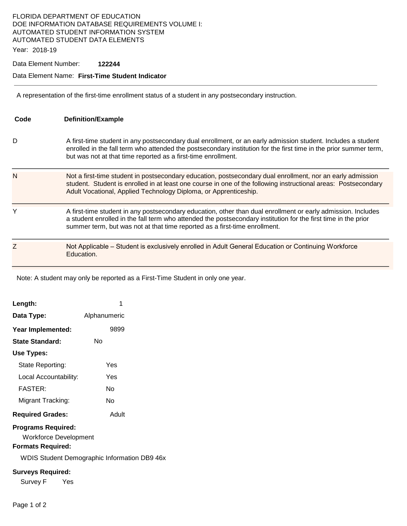# FLORIDA DEPARTMENT OF EDUCATION DOE INFORMATION DATABASE REQUIREMENTS VOLUME I: AUTOMATED STUDENT INFORMATION SYSTEM AUTOMATED STUDENT DATA ELEMENTS

Year: 2018-19

## Data Element Number: **122244**

### Data Element Name: **First-Time Student Indicator**

A representation of the first-time enrollment status of a student in any postsecondary instruction.

| Code | <b>Definition/Example</b>                                                                                                                                                                                                                                                                                    |
|------|--------------------------------------------------------------------------------------------------------------------------------------------------------------------------------------------------------------------------------------------------------------------------------------------------------------|
| D    | A first-time student in any postsecondary dual enrollment, or an early admission student. Includes a student<br>enrolled in the fall term who attended the postsecondary institution for the first time in the prior summer term,<br>but was not at that time reported as a first-time enrollment.           |
| N    | Not a first-time student in postsecondary education, postsecondary dual enrollment, nor an early admission<br>student. Student is enrolled in at least one course in one of the following instructional areas: Postsecondary<br>Adult Vocational, Applied Technology Diploma, or Apprenticeship.             |
| Y    | A first-time student in any postsecondary education, other than dual enrollment or early admission. Includes<br>a student enrolled in the fall term who attended the postsecondary institution for the first time in the prior<br>summer term, but was not at that time reported as a first-time enrollment. |
| Z    | Not Applicable – Student is exclusively enrolled in Adult General Education or Continuing Workforce<br>Education.                                                                                                                                                                                            |

Note: A student may only be reported as a First-Time Student in only one year.

| Length:                                                                                                                               | 1            |  |  |  |
|---------------------------------------------------------------------------------------------------------------------------------------|--------------|--|--|--|
| Data Type:                                                                                                                            | Alphanumeric |  |  |  |
| Year Implemented:                                                                                                                     | 9899         |  |  |  |
| State Standard:                                                                                                                       | Nο           |  |  |  |
| Use Types:                                                                                                                            |              |  |  |  |
| State Reporting:                                                                                                                      | Yes          |  |  |  |
| Local Accountability:                                                                                                                 | Yes          |  |  |  |
| FASTFR·                                                                                                                               | N٥           |  |  |  |
| Migrant Tracking:                                                                                                                     | N٥           |  |  |  |
| <b>Required Grades:</b>                                                                                                               | Adult        |  |  |  |
| <b>Programs Required:</b><br>Workforce Development<br><b>Formats Required:</b><br><b>WDIS Student Demographic Information DB9 46x</b> |              |  |  |  |
| <b>Surveys Required:</b>                                                                                                              |              |  |  |  |
| Survey F<br>Yes                                                                                                                       |              |  |  |  |